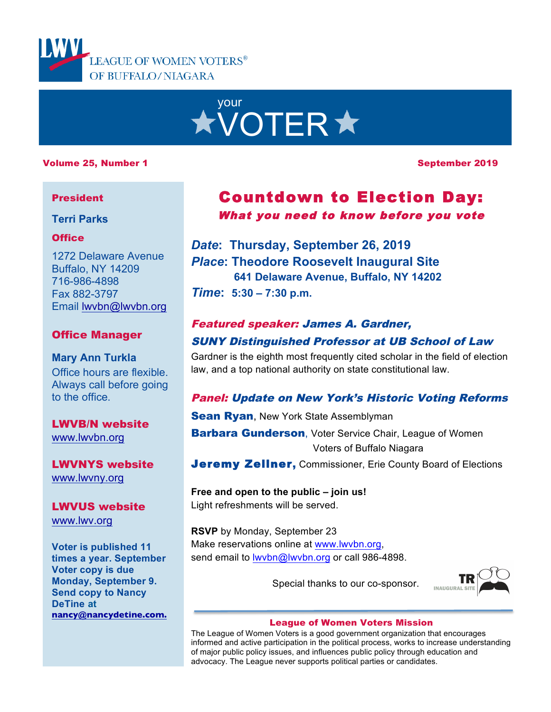



#### Volume 25, Number 1 September 2019

#### President

**Terri Parks**

#### **Office**

1272 Delaware Avenue Buffalo, NY 14209 716-986-4898 Fax 882-3797 Email lwvbn@lwvbn.org

#### Office Manager

**Mary Ann Turkla** Office hours are flexible. Always call before going to the office.

LWVB/N website www.lwvbn.org

LWVNYS website www.lwvny.org

LWVUS website www.lwv.org

**Voter is published 11 times a year. September Voter copy is due Monday, September 9. Send copy to Nancy DeTine at nancy@nancydetine.com.**

## Countdown to Election Day: What you need to know before you vote

*Date***: Thursday, September 26, 2019** *Place***: Theodore Roosevelt Inaugural Site 641 Delaware Avenue, Buffalo, NY 14202** *Time***: 5:30 – 7:30 p.m.**

# Featured speaker: James A. Gardner,

#### SUNY Distinguished Professor at UB School of Law

Gardner is the eighth most frequently cited scholar in the field of election law, and a top national authority on state constitutional law.

### Panel: Update on New York's Historic Voting Reforms

**Sean Ryan**, New York State Assemblyman

**Barbara Gunderson**, Voter Service Chair, League of Women Voters of Buffalo Niagara

**Jeremy Zellner, Commissioner, Erie County Board of Elections** 

**Free and open to the public – join us!**  Light refreshments will be served.

**RSVP** by Monday, September 23 Make reservations online at www.lwvbn.org, send email to lwybn@lwybn.org or call 986-4898.

Special thanks to our co-sponsor.



#### League of Women Voters Mission

The League of Women Voters is a good government organization that encourages informed and active participation in the political process, works to increase understanding of major public policy issues, and influences public policy through education and advocacy. The League never supports political parties or candidates.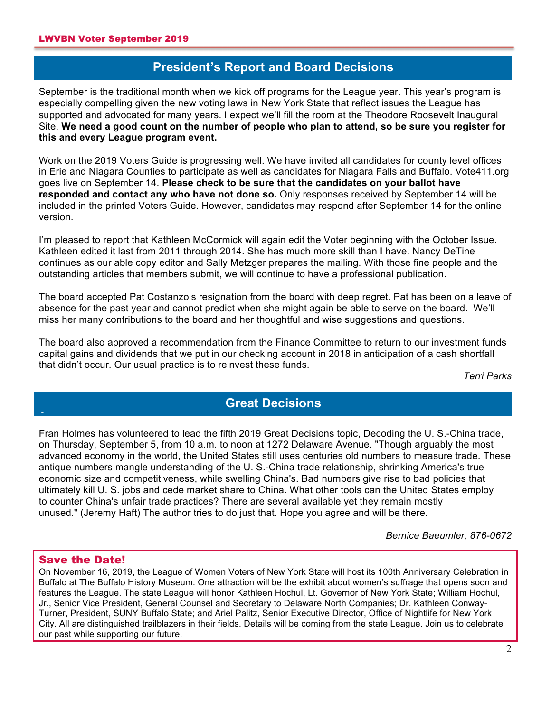### **President's Report and Board Decisions**

**A** September is the traditional month when we kick off programs for the League year. This year's program is especially compelling given the new voting laws in New York State that reflect issues the League has supported and advocated for many years. I expect we'll fill the room at the Theodore Roosevelt Inaugural Site. **We need a good count on the number of people who plan to attend, so be sure you register for this and every League program event.**

Work on the 2019 Voters Guide is progressing well. We have invited all candidates for county level offices in Erie and Niagara Counties to participate as well as candidates for Niagara Falls and Buffalo. Vote411.org goes live on September 14. **Please check to be sure that the candidates on your ballot have responded and contact any who have not done so.** Only responses received by September 14 will be included in the printed Voters Guide. However, candidates may respond after September 14 for the online version.

I'm pleased to report that Kathleen McCormick will again edit the Voter beginning with the October Issue. Kathleen edited it last from 2011 through 2014. She has much more skill than I have. Nancy DeTine continues as our able copy editor and Sally Metzger prepares the mailing. With those fine people and the outstanding articles that members submit, we will continue to have a professional publication.

The board accepted Pat Costanzo's resignation from the board with deep regret. Pat has been on a leave of absence for the past year and cannot predict when she might again be able to serve on the board. We'll miss her many contributions to the board and her thoughtful and wise suggestions and questions.

The board also approved a recommendation from the Finance Committee to return to our investment funds capital gains and dividends that we put in our checking account in 2018 in anticipation of a cash shortfall that didn't occur. Our usual practice is to reinvest these funds.

*Terri Parks*

### **Great Decisions**

Fran Holmes has volunteered to lead the fifth 2019 Great Decisions topic, Decoding the U. S.-China trade, on Thursday, September 5, from 10 a.m. to noon at 1272 Delaware Avenue. "Though arguably the most advanced economy in the world, the United States still uses centuries old numbers to measure trade. These antique numbers mangle understanding of the U. S.-China trade relationship, shrinking America's true economic size and competitiveness, while swelling China's. Bad numbers give rise to bad policies that ultimately kill U. S. jobs and cede market share to China. What other tools can the United States employ to counter China's unfair trade practices? There are several available yet they remain mostly unused." (Jeremy Haft) The author tries to do just that. Hope you agree and will be there.

*Bernice Baeumler, 876-0672*

#### Save the Date!

**A**

On November 16, 2019, the League of Women Voters of New York State will host its 100th Anniversary Celebration in Buffalo at The Buffalo History Museum. One attraction will be the exhibit about women's suffrage that opens soon and features the League. The state League will honor Kathleen Hochul, Lt. Governor of New York State; William Hochul, Jr., Senior Vice President, General Counsel and Secretary to Delaware North Companies; Dr. Kathleen Conway-Turner, President, SUNY Buffalo State; and Ariel Palitz, Senior Executive Director, Office of Nightlife for New York City. All are distinguished trailblazers in their fields. Details will be coming from the state League. Join us to celebrate our past while supporting our future.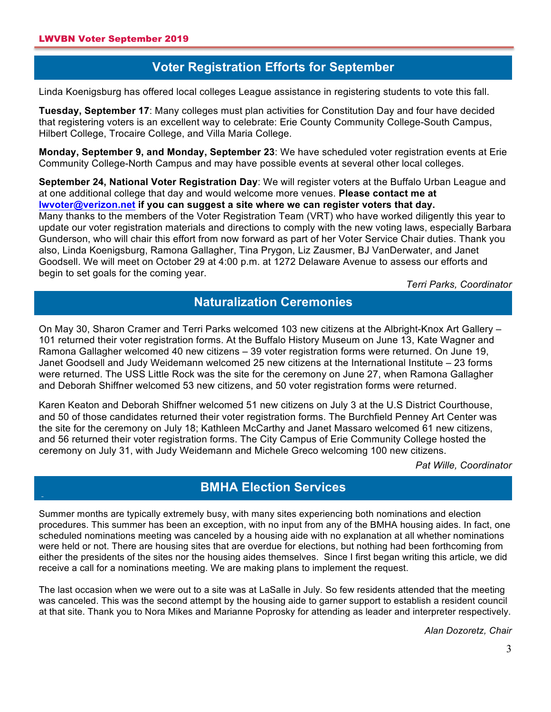**A**

**A**

### **Voter Registration Efforts for September**

**A** Linda Koenigsburg has offered local colleges League assistance in registering students to vote this fall.

**Tuesday, September 17**: Many colleges must plan activities for Constitution Day and four have decided that registering voters is an excellent way to celebrate: Erie County Community College-South Campus, Hilbert College, Trocaire College, and Villa Maria College.

**Monday, September 9, and Monday, September 23**: We have scheduled voter registration events at Erie Community College-North Campus and may have possible events at several other local colleges.

**September 24, National Voter Registration Day**: We will register voters at the Buffalo Urban League and at one additional college that day and would welcome more venues. **Please contact me at lwvoter@verizon.net if you can suggest a site where we can register voters that day.**  Many thanks to the members of the Voter Registration Team (VRT) who have worked diligently this year to update our voter registration materials and directions to comply with the new voting laws, especially Barbara Gunderson, who will chair this effort from now forward as part of her Voter Service Chair duties. Thank you also, Linda Koenigsburg, Ramona Gallagher, Tina Prygon, Liz Zausmer, BJ VanDerwater, and Janet Goodsell. We will meet on October 29 at 4:00 p.m. at 1272 Delaware Avenue to assess our efforts and begin to set goals for the coming year.

*Terri Parks, Coordinator*

### **Naturalization Ceremonies**

On May 30, Sharon Cramer and Terri Parks welcomed 103 new citizens at the Albright-Knox Art Gallery – 101 returned their voter registration forms. At the Buffalo History Museum on June 13, Kate Wagner and Ramona Gallagher welcomed 40 new citizens – 39 voter registration forms were returned. On June 19, Janet Goodsell and Judy Weidemann welcomed 25 new citizens at the International Institute – 23 forms were returned. The USS Little Rock was the site for the ceremony on June 27, when Ramona Gallagher and Deborah Shiffner welcomed 53 new citizens, and 50 voter registration forms were returned.

Karen Keaton and Deborah Shiffner welcomed 51 new citizens on July 3 at the U.S District Courthouse, and 50 of those candidates returned their voter registration forms. The Burchfield Penney Art Center was the site for the ceremony on July 18; Kathleen McCarthy and Janet Massaro welcomed 61 new citizens, and 56 returned their voter registration forms. The City Campus of Erie Community College hosted the ceremony on July 31, with Judy Weidemann and Michele Greco welcoming 100 new citizens.

*Pat Wille, Coordinator*

#### **BMHA Election Services**

Summer months are typically extremely busy, with many sites experiencing both nominations and election procedures. This summer has been an exception, with no input from any of the BMHA housing aides. In fact, one scheduled nominations meeting was canceled by a housing aide with no explanation at all whether nominations were held or not. There are housing sites that are overdue for elections, but nothing had been forthcoming from either the presidents of the sites nor the housing aides themselves. Since I first began writing this article, we did receive a call for a nominations meeting. We are making plans to implement the request.

The last occasion when we were out to a site was at LaSalle in July. So few residents attended that the meeting was canceled. This was the second attempt by the housing aide to garner support to establish a resident council at that site. Thank you to Nora Mikes and Marianne Poprosky for attending as leader and interpreter respectively.

*Alan Dozoretz, Chair*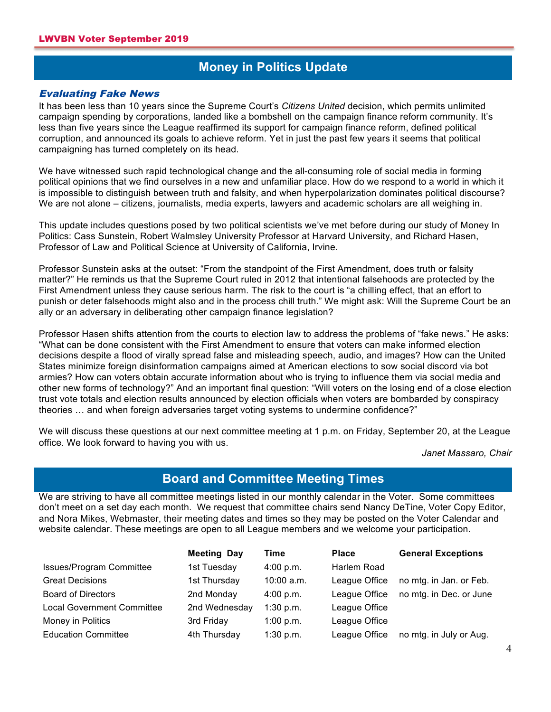### **Money in Politics Update**

#### Evaluating Fake News

**A**

It has been less than 10 years since the Supreme Court's *Citizens United* decision, which permits unlimited campaign spending by corporations, landed like a bombshell on the campaign finance reform community. It's less than five years since the League reaffirmed its support for campaign finance reform, defined political corruption, and announced its goals to achieve reform. Yet in just the past few years it seems that political campaigning has turned completely on its head.

We have witnessed such rapid technological change and the all-consuming role of social media in forming political opinions that we find ourselves in a new and unfamiliar place. How do we respond to a world in which it is impossible to distinguish between truth and falsity, and when hyperpolarization dominates political discourse? We are not alone – citizens, journalists, media experts, lawyers and academic scholars are all weighing in.

This update includes questions posed by two political scientists we've met before during our study of Money In Politics: Cass Sunstein, Robert Walmsley University Professor at Harvard University, and Richard Hasen, Professor of Law and Political Science at University of California, Irvine.

Professor Sunstein asks at the outset: "From the standpoint of the First Amendment, does truth or falsity matter?" He reminds us that the Supreme Court ruled in 2012 that intentional falsehoods are protected by the First Amendment unless they cause serious harm. The risk to the court is "a chilling effect, that an effort to punish or deter falsehoods might also and in the process chill truth." We might ask: Will the Supreme Court be an ally or an adversary in deliberating other campaign finance legislation?

Professor Hasen shifts attention from the courts to election law to address the problems of "fake news." He asks: "What can be done consistent with the First Amendment to ensure that voters can make informed election decisions despite a flood of virally spread false and misleading speech, audio, and images? How can the United States minimize foreign disinformation campaigns aimed at American elections to sow social discord via bot armies? How can voters obtain accurate information about who is trying to influence them via social media and other new forms of technology?" And an important final question: "Will voters on the losing end of a close election trust vote totals and election results announced by election officials when voters are bombarded by conspiracy theories … and when foreign adversaries target voting systems to undermine confidence?"

We will discuss these questions at our next committee meeting at 1 p.m. on Friday, September 20, at the League office. We look forward to having you with us.

*Janet Massaro, Chair*

### **Board and Committee Meeting Times**

We are striving to have all committee meetings listed in our monthly calendar in the Voter. Some committees don't meet on a set day each month. We request that committee chairs send Nancy DeTine, Voter Copy Editor, and Nora Mikes, Webmaster, their meeting dates and times so they may be posted on the Voter Calendar and website calendar. These meetings are open to all League members and we welcome your participation.

|                                   | <b>Meeting Day</b> | Time         | <b>Place</b>  | <b>General Exceptions</b> |
|-----------------------------------|--------------------|--------------|---------------|---------------------------|
| <b>Issues/Program Committee</b>   | 1st Tuesday        | 4:00 p.m.    | Harlem Road   |                           |
| <b>Great Decisions</b>            | 1st Thursday       | $10:00$ a.m. | League Office | no mtg. in Jan. or Feb.   |
| <b>Board of Directors</b>         | 2nd Monday         | 4:00 p.m.    | League Office | no mtg. in Dec. or June   |
| <b>Local Government Committee</b> | 2nd Wednesday      | 1:30 p.m.    | League Office |                           |
| Money in Politics                 | 3rd Friday         | 1:00 p.m.    | League Office |                           |
| <b>Education Committee</b>        | 4th Thursday       | 1:30 p.m.    | League Office | no mtg. in July or Aug.   |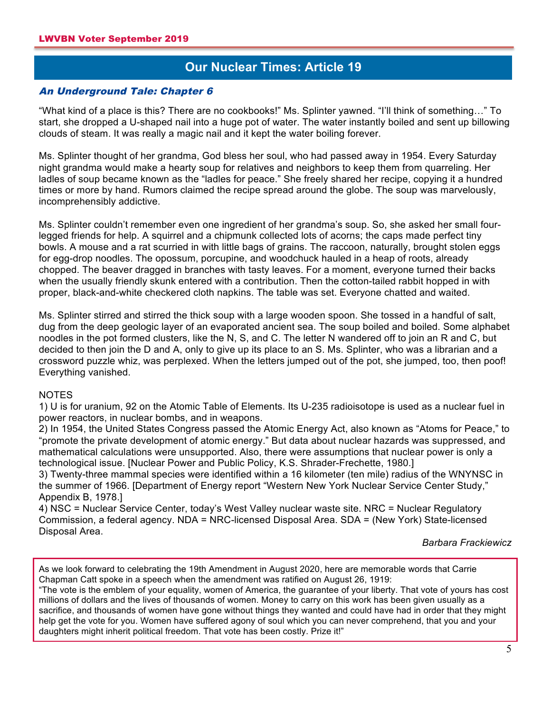### **Our Nuclear Times: Article 19**

#### **A** An Underground Tale: Chapter 6

"What kind of a place is this? There are no cookbooks!" Ms. Splinter yawned. "I'll think of something…" To start, she dropped a U-shaped nail into a huge pot of water. The water instantly boiled and sent up billowing clouds of steam. It was really a magic nail and it kept the water boiling forever.

Ms. Splinter thought of her grandma, God bless her soul, who had passed away in 1954. Every Saturday night grandma would make a hearty soup for relatives and neighbors to keep them from quarreling. Her ladles of soup became known as the "ladles for peace." She freely shared her recipe, copying it a hundred times or more by hand. Rumors claimed the recipe spread around the globe. The soup was marvelously, incomprehensibly addictive.

Ms. Splinter couldn't remember even one ingredient of her grandma's soup. So, she asked her small fourlegged friends for help. A squirrel and a chipmunk collected lots of acorns; the caps made perfect tiny bowls. A mouse and a rat scurried in with little bags of grains. The raccoon, naturally, brought stolen eggs for egg-drop noodles. The opossum, porcupine, and woodchuck hauled in a heap of roots, already chopped. The beaver dragged in branches with tasty leaves. For a moment, everyone turned their backs when the usually friendly skunk entered with a contribution. Then the cotton-tailed rabbit hopped in with proper, black-and-white checkered cloth napkins. The table was set. Everyone chatted and waited.

Ms. Splinter stirred and stirred the thick soup with a large wooden spoon. She tossed in a handful of salt, dug from the deep geologic layer of an evaporated ancient sea. The soup boiled and boiled. Some alphabet noodles in the pot formed clusters, like the N, S, and C. The letter N wandered off to join an R and C, but decided to then join the D and A, only to give up its place to an S. Ms. Splinter, who was a librarian and a crossword puzzle whiz, was perplexed. When the letters jumped out of the pot, she jumped, too, then poof! Everything vanished.

#### NOTES

1) U is for uranium, 92 on the Atomic Table of Elements. Its U-235 radioisotope is used as a nuclear fuel in power reactors, in nuclear bombs, and in weapons.

2) In 1954, the United States Congress passed the Atomic Energy Act, also known as "Atoms for Peace," to "promote the private development of atomic energy." But data about nuclear hazards was suppressed, and mathematical calculations were unsupported. Also, there were assumptions that nuclear power is only a technological issue. [Nuclear Power and Public Policy, K.S. Shrader-Frechette, 1980.]

3) Twenty-three mammal species were identified within a 16 kilometer (ten mile) radius of the WNYNSC in the summer of 1966. [Department of Energy report "Western New York Nuclear Service Center Study," Appendix B, 1978.]

4) NSC = Nuclear Service Center, today's West Valley nuclear waste site. NRC = Nuclear Regulatory Commission, a federal agency. NDA = NRC-licensed Disposal Area. SDA = (New York) State-licensed Disposal Area.

*Barbara Frackiewicz*

As we look forward to celebrating the 19th Amendment in August 2020, here are memorable words that Carrie Chapman Catt spoke in a speech when the amendment was ratified on August 26, 1919:

"The vote is the emblem of your equality, women of America, the guarantee of your liberty. That vote of yours has cost millions of dollars and the lives of thousands of women. Money to carry on this work has been given usually as a sacrifice, and thousands of women have gone without things they wanted and could have had in order that they might help get the vote for you. Women have suffered agony of soul which you can never comprehend, that you and your daughters might inherit political freedom. That vote has been costly. Prize it!"